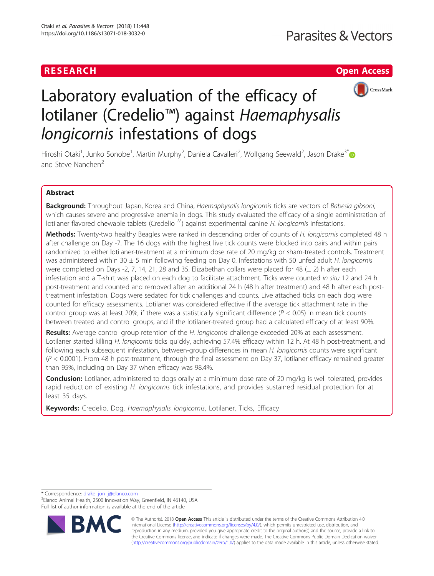# RESEARCH **RESEARCH CHANNEL EXECUTE ACCESS**



# Laboratory evaluation of the efficacy of lotilaner (Credelio™) against Haemaphysalis longicornis infestations of dogs

Hiroshi Otaki<sup>1</sup>, Junko Sonobe<sup>1</sup>, Martin Murphy<sup>2</sup>, Daniela Cavalleri<sup>2</sup>, Wolfgang Seewald<sup>2</sup>, Jason Drake<sup>3[\\*](http://orcid.org/0000-0001-6203-0852)</sup> and Steve Nanchen<sup>2</sup>

## Abstract

Background: Throughout Japan, Korea and China, Haemaphysalis longicornis ticks are vectors of Babesia gibsoni, which causes severe and progressive anemia in dogs. This study evaluated the efficacy of a single administration of lotilaner flavored chewable tablets (Credelio<sup>TM</sup>) against experimental canine H. longicornis infestations.

Methods: Twenty-two healthy Beagles were ranked in descending order of counts of H. longicornis completed 48 h after challenge on Day -7. The 16 dogs with the highest live tick counts were blocked into pairs and within pairs randomized to either lotilaner-treatment at a minimum dose rate of 20 mg/kg or sham-treated controls. Treatment was administered within 30  $\pm$  5 min following feeding on Day 0. Infestations with 50 unfed adult H. longicornis were completed on Days -2, 7, 14, 21, 28 and 35. Elizabethan collars were placed for 48 (± 2) h after each infestation and a T-shirt was placed on each dog to facilitate attachment. Ticks were counted in situ 12 and 24 h post-treatment and counted and removed after an additional 24 h (48 h after treatment) and 48 h after each posttreatment infestation. Dogs were sedated for tick challenges and counts. Live attached ticks on each dog were counted for efficacy assessments. Lotilaner was considered effective if the average tick attachment rate in the control group was at least 20%, if there was a statistically significant difference ( $P < 0.05$ ) in mean tick counts between treated and control groups, and if the lotilaner-treated group had a calculated efficacy of at least 90%.

Results: Average control group retention of the H. longicornis challenge exceeded 20% at each assessment. Lotilaner started killing H. longicornis ticks quickly, achieving 57.4% efficacy within 12 h. At 48 h post-treatment, and following each subsequent infestation, between-group differences in mean H. longicornis counts were significant  $(P < 0.0001)$ . From 48 h post-treatment, through the final assessment on Day 37, lotilaner efficacy remained greater than 95%, including on Day 37 when efficacy was 98.4%.

**Conclusion:** Lotilaner, administered to dogs orally at a minimum dose rate of 20 mg/kg is well tolerated, provides rapid reduction of existing H. longicornis tick infestations, and provides sustained residual protection for at least 35 days.

Keywords: Credelio, Dog, Haemaphysalis longicornis, Lotilaner, Ticks, Efficacy

\* Correspondence: [drake\\_jon\\_j@elanco.com](mailto:drake_jon_j@elanco.com) <sup>3</sup>

<sup>3</sup> Elanco Animal Health, 2500 Innovation Way, Greenfield, IN 46140, USA Full list of author information is available at the end of the article



© The Author(s). 2018 Open Access This article is distributed under the terms of the Creative Commons Attribution 4.0 International License [\(http://creativecommons.org/licenses/by/4.0/](http://creativecommons.org/licenses/by/4.0/)), which permits unrestricted use, distribution, and reproduction in any medium, provided you give appropriate credit to the original author(s) and the source, provide a link to the Creative Commons license, and indicate if changes were made. The Creative Commons Public Domain Dedication waiver [\(http://creativecommons.org/publicdomain/zero/1.0/](http://creativecommons.org/publicdomain/zero/1.0/)) applies to the data made available in this article, unless otherwise stated.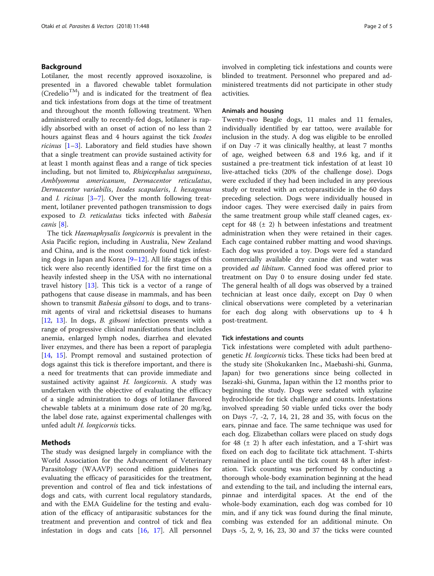#### Background

Lotilaner, the most recently approved isoxazoline, is presented in a flavored chewable tablet formulation  $(Credelio<sup>TM</sup>)$  and is indicated for the treatment of flea and tick infestations from dogs at the time of treatment and throughout the month following treatment. When administered orally to recently-fed dogs, lotilaner is rapidly absorbed with an onset of action of no less than 2 hours against fleas and 4 hours against the tick Ixodes ricinus [[1](#page-4-0)–[3\]](#page-4-0). Laboratory and field studies have shown that a single treatment can provide sustained activity for at least 1 month against fleas and a range of tick species including, but not limited to, Rhipicephalus sanguineus, Amblyomma americanum, Dermacentor reticulatus, Dermacentor variabilis, Ixodes scapularis, I. hexagonus and *I. ricinus*  $[3-7]$  $[3-7]$  $[3-7]$  $[3-7]$ . Over the month following treatment, lotilaner prevented pathogen transmission to dogs exposed to D. reticulatus ticks infected with Babesia canis [[8](#page-4-0)].

The tick Haemaphysalis longicornis is prevalent in the Asia Pacific region, including in Australia, New Zealand and China, and is the most commonly found tick infesting dogs in Japan and Korea [\[9](#page-4-0)–[12](#page-4-0)]. All life stages of this tick were also recently identified for the first time on a heavily infested sheep in the USA with no international travel history [\[13\]](#page-4-0). This tick is a vector of a range of pathogens that cause disease in mammals, and has been shown to transmit *Babesia gibsoni* to dogs, and to transmit agents of viral and rickettsial diseases to humans [[12,](#page-4-0) [13\]](#page-4-0). In dogs, *B. gibsoni* infection presents with a range of progressive clinical manifestations that includes anemia, enlarged lymph nodes, diarrhea and elevated liver enzymes, and there has been a report of paraplegia [[14,](#page-4-0) [15\]](#page-4-0). Prompt removal and sustained protection of dogs against this tick is therefore important, and there is a need for treatments that can provide immediate and sustained activity against H. longicornis. A study was undertaken with the objective of evaluating the efficacy of a single administration to dogs of lotilaner flavored chewable tablets at a minimum dose rate of 20 mg/kg, the label dose rate, against experimental challenges with unfed adult H. longicornis ticks.

#### Methods

The study was designed largely in compliance with the World Association for the Advancement of Veterinary Parasitology (WAAVP) second edition guidelines for evaluating the efficacy of parasiticides for the treatment, prevention and control of flea and tick infestations of dogs and cats, with current local regulatory standards, and with the EMA Guideline for the testing and evaluation of the efficacy of antiparasitic substances for the treatment and prevention and control of tick and flea infestation in dogs and cats [\[16](#page-4-0), [17](#page-4-0)]. All personnel involved in completing tick infestations and counts were blinded to treatment. Personnel who prepared and administered treatments did not participate in other study activities.

#### Animals and housing

Twenty-two Beagle dogs, 11 males and 11 females, individually identified by ear tattoo, were available for inclusion in the study. A dog was eligible to be enrolled if on Day -7 it was clinically healthy, at least 7 months of age, weighed between 6.8 and 19.6 kg, and if it sustained a pre-treatment tick infestation of at least 10 live-attached ticks (20% of the challenge dose). Dogs were excluded if they had been included in any previous study or treated with an ectoparasiticide in the 60 days preceding selection. Dogs were individually housed in indoor cages. They were exercised daily in pairs from the same treatment group while staff cleaned cages, except for 48  $(\pm 2)$  h between infestations and treatment administration when they were retained in their cages. Each cage contained rubber matting and wood shavings. Each dog was provided a toy. Dogs were fed a standard commercially available dry canine diet and water was provided *ad libitum*. Canned food was offered prior to treatment on Day 0 to ensure dosing under fed state. The general health of all dogs was observed by a trained technician at least once daily, except on Day 0 when clinical observations were completed by a veterinarian for each dog along with observations up to 4 h post-treatment.

#### Tick infestations and counts

Tick infestations were completed with adult parthenogenetic H. longicornis ticks. These ticks had been bred at the study site (Shokukanken Inc., Maebashi-shi, Gunma, Japan) for two generations since being collected in Isezaki-shi, Gunma, Japan within the 12 months prior to beginning the study. Dogs were sedated with xylazine hydrochloride for tick challenge and counts. Infestations involved spreading 50 viable unfed ticks over the body on Days -7, -2, 7, 14, 21, 28 and 35, with focus on the ears, pinnae and face. The same technique was used for each dog. Elizabethan collars were placed on study dogs for 48  $(\pm 2)$  h after each infestation, and a T-shirt was fixed on each dog to facilitate tick attachment. T-shirts remained in place until the tick count 48 h after infestation. Tick counting was performed by conducting a thorough whole-body examination beginning at the head and extending to the tail, and including the internal ears, pinnae and interdigital spaces. At the end of the whole-body examination, each dog was combed for 10 min, and if any tick was found during the final minute, combing was extended for an additional minute. On Days -5, 2, 9, 16, 23, 30 and 37 the ticks were counted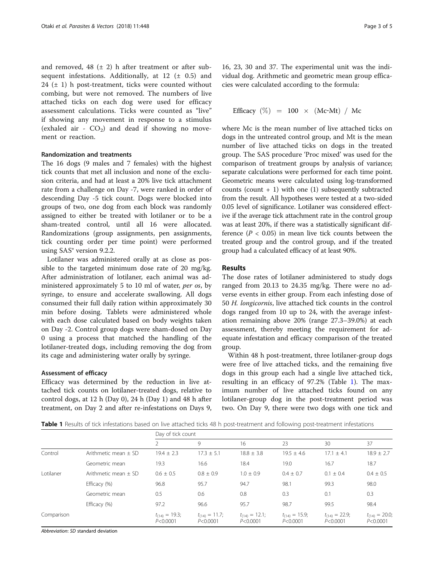and removed,  $48$  ( $\pm$  2) h after treatment or after subsequent infestations. Additionally, at  $12$  ( $\pm$  0.5) and 24  $(\pm 1)$  h post-treatment, ticks were counted without combing, but were not removed. The numbers of live attached ticks on each dog were used for efficacy assessment calculations. Ticks were counted as "live" if showing any movement in response to a stimulus (exhaled air -  $CO<sub>2</sub>$ ) and dead if showing no movement or reaction.

#### Randomization and treatments

The 16 dogs (9 males and 7 females) with the highest tick counts that met all inclusion and none of the exclusion criteria, and had at least a 20% live tick attachment rate from a challenge on Day -7, were ranked in order of descending Day -5 tick count. Dogs were blocked into groups of two, one dog from each block was randomly assigned to either be treated with lotilaner or to be a sham-treated control, until all 16 were allocated. Randomizations (group assignments, pen assignments, tick counting order per time point) were performed using SAS® version 9.2.2.

Lotilaner was administered orally at as close as possible to the targeted minimum dose rate of 20 mg/kg. After administration of lotilaner, each animal was administered approximately 5 to 10 ml of water, per os, by syringe, to ensure and accelerate swallowing. All dogs consumed their full daily ration within approximately 30 min before dosing. Tablets were administered whole with each dose calculated based on body weights taken on Day -2. Control group dogs were sham-dosed on Day 0 using a process that matched the handling of the lotilaner-treated dogs, including removing the dog from its cage and administering water orally by syringe.

#### Assessment of efficacy

Efficacy was determined by the reduction in live attached tick counts on lotilaner-treated dogs, relative to control dogs, at 12 h (Day 0), 24 h (Day 1) and 48 h after treatment, on Day 2 and after re-infestations on Days 9,

16, 23, 30 and 37. The experimental unit was the individual dog. Arithmetic and geometric mean group efficacies were calculated according to the formula:

Efficacy  $(\%) = 100 \times (Mc-Mt) / Mc$ 

where Mc is the mean number of live attached ticks on dogs in the untreated control group, and Mt is the mean number of live attached ticks on dogs in the treated group. The SAS procedure 'Proc mixed' was used for the comparison of treatment groups by analysis of variance; separate calculations were performed for each time point. Geometric means were calculated using log-transformed counts (count  $+1$ ) with one (1) subsequently subtracted from the result. All hypotheses were tested at a two-sided 0.05 level of significance. Lotilaner was considered effective if the average tick attachment rate in the control group was at least 20%, if there was a statistically significant difference  $(P < 0.05)$  in mean live tick counts between the treated group and the control group, and if the treated group had a calculated efficacy of at least 90%.

#### Results

The dose rates of lotilaner administered to study dogs ranged from 20.13 to 24.35 mg/kg. There were no adverse events in either group. From each infesting dose of 50 H. longicornis, live attached tick counts in the control dogs ranged from 10 up to 24, with the average infestation remaining above 20% (range 27.3–39.0%) at each assessment, thereby meeting the requirement for adequate infestation and efficacy comparison of the treated group.

Within 48 h post-treatment, three lotilaner-group dogs were free of live attached ticks, and the remaining five dogs in this group each had a single live attached tick, resulting in an efficacy of 97.2% (Table 1). The maximum number of live attached ticks found on any lotilaner-group dog in the post-treatment period was two. On Day 9, there were two dogs with one tick and

Table 1 Results of tick infestations based on live attached ticks 48 h post-treatment and following post-treatment infestations

|            |                          | Day of tick count                |                                  |                                  |                                  |                                  |                                  |
|------------|--------------------------|----------------------------------|----------------------------------|----------------------------------|----------------------------------|----------------------------------|----------------------------------|
|            |                          |                                  | 9                                | 16                               | 23                               | 30                               | 37                               |
| Control    | Arithmetic mean $+$ SD   | $19.4 + 2.3$                     | $17.3 + 5.1$                     | $18.8 \pm 3.8$                   | $19.5 \pm 4.6$                   | $17.1 + 4.1$                     | $18.9 \pm 2.7$                   |
|            | Geometric mean           | 19.3                             | 16.6                             | 18.4                             | 19.0                             | 16.7                             | 18.7                             |
| Lotilaner  | Arithmetic mean $\pm$ SD | $0.6 \pm 0.5$                    | $0.8 \pm 0.9$                    | $1.0 \pm 0.9$                    | $0.4 + 0.7$                      | $0.1 \pm 0.4$                    | $0.4 \pm 0.5$                    |
|            | Efficacy (%)             | 96.8                             | 95.7                             | 94.7                             | 98.1                             | 99.3                             | 98.0                             |
|            | Geometric mean           | 0.5                              | 0.6                              | 0.8                              | 0.3                              | 0.1                              | 0.3                              |
|            | Efficacy (%)             | 97.2                             | 96.6                             | 95.7                             | 98.7                             | 99.5                             | 98.4                             |
| Comparison |                          | $t_{(14)} = 19.3;$<br>P < 0.0001 | $t_{(14)} = 11.7;$<br>P < 0.0001 | $t_{(14)} = 12.1;$<br>P < 0.0001 | $t_{(14)} = 15.9;$<br>P < 0.0001 | $t_{(14)} = 22.9;$<br>P < 0.0001 | $t_{(14)} = 20.0;$<br>P < 0.0001 |

Abbreviation: SD standard deviation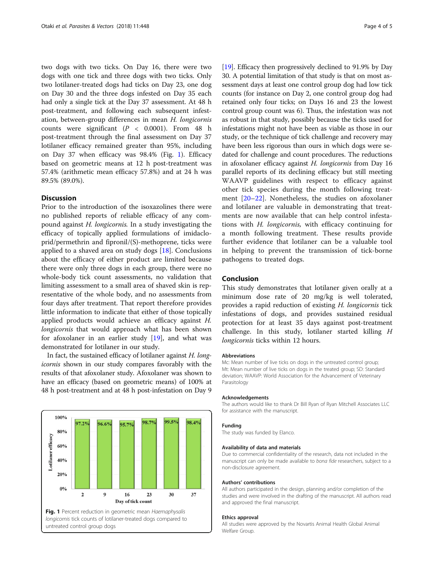two dogs with two ticks. On Day 16, there were two dogs with one tick and three dogs with two ticks. Only two lotilaner-treated dogs had ticks on Day 23, one dog on Day 30 and the three dogs infested on Day 35 each had only a single tick at the Day 37 assessment. At 48 h post-treatment, and following each subsequent infestation, between-group differences in mean H. longicornis counts were significant  $(P < 0.0001)$ . From 48 h post-treatment through the final assessment on Day 37 lotilaner efficacy remained greater than 95%, including on Day 37 when efficacy was 98.4% (Fig. 1). Efficacy based on geometric means at 12 h post-treatment was 57.4% (arithmetic mean efficacy 57.8%) and at 24 h was 89.5% (89.0%).

### **Discussion**

Prior to the introduction of the isoxazolines there were no published reports of reliable efficacy of any compound against H. longicornis. In a study investigating the efficacy of topically applied formulations of imidacloprid/permethrin and fipronil/(S)-methoprene, ticks were applied to a shaved area on study dogs  $[18]$  $[18]$ . Conclusions about the efficacy of either product are limited because there were only three dogs in each group, there were no whole-body tick count assessments, no validation that limiting assessment to a small area of shaved skin is representative of the whole body, and no assessments from four days after treatment. That report therefore provides little information to indicate that either of those topically applied products would achieve an efficacy against H. longicornis that would approach what has been shown for afoxolaner in an earlier study  $[19]$  $[19]$ , and what was demonstrated for lotilaner in our study.

In fact, the sustained efficacy of lotilaner against H. longicornis shown in our study compares favorably with the results of that afoxolaner study. Afoxolaner was shown to have an efficacy (based on geometric means) of 100% at 48 h post-treatment and at 48 h post-infestation on Day 9



[[19](#page-4-0)]. Efficacy then progressively declined to 91.9% by Day 30. A potential limitation of that study is that on most assessment days at least one control group dog had low tick counts (for instance on Day 2, one control group dog had retained only four ticks; on Days 16 and 23 the lowest control group count was 6). Thus, the infestation was not as robust in that study, possibly because the ticks used for infestations might not have been as viable as those in our study, or the technique of tick challenge and recovery may have been less rigorous than ours in which dogs were sedated for challenge and count procedures. The reductions in afoxolaner efficacy against H. longicornis from Day 16 parallel reports of its declining efficacy but still meeting WAAVP guidelines with respect to efficacy against other tick species during the month following treatment [\[20](#page-4-0)–[22](#page-4-0)]. Nonetheless, the studies on afoxolaner and lotilaner are valuable in demonstrating that treatments are now available that can help control infestations with H. longicornis, with efficacy continuing for a month following treatment. These results provide further evidence that lotilaner can be a valuable tool in helping to prevent the transmission of tick-borne pathogens to treated dogs.

#### Conclusion

This study demonstrates that lotilaner given orally at a minimum dose rate of 20 mg/kg is well tolerated, provides a rapid reduction of existing H. longicornis tick infestations of dogs, and provides sustained residual protection for at least 35 days against post-treatment challenge. In this study, lotilaner started killing H longicornis ticks within 12 hours.

#### Abbreviations

Mc: Mean number of live ticks on dogs in the untreated control group; Mt: Mean number of live ticks on dogs in the treated group; SD: Standard deviation; WAAVP: World Association for the Advancement of Veterinary Parasitology

#### Acknowledgements

The authors would like to thank Dr Bill Ryan of Ryan Mitchell Associates LLC for assistance with the manuscript.

#### Funding

The study was funded by Elanco.

#### Availability of data and materials

Due to commercial confidentiality of the research, data not included in the manuscript can only be made available to bona fide researchers, subject to a non-disclosure agreement.

#### Authors' contributions

All authors participated in the design, planning and/or completion of the studies and were involved in the drafting of the manuscript. All authors read and approved the final manuscript.

#### Ethics approval

All studies were approved by the Novartis Animal Health Global Animal Welfare Group.